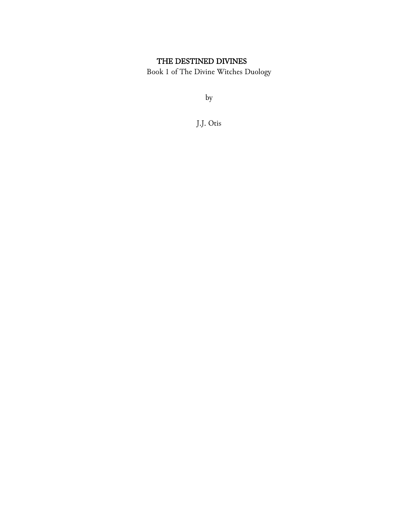# THE DESTINED DIVINES

Book 1 of The Divine Witches Duology

by

J.J. Otis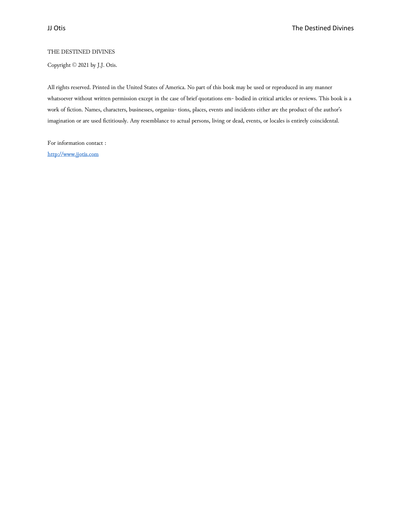#### THE DESTINED DIVINES

Copyright © 2021 by J.J. Otis.

All rights reserved. Printed in the United States of America. No part of this book may be used or reproduced in any manner whatsoever without written permission except in the case of brief quotations em- bodied in critical articles or reviews. This book is a work of fiction. Names, characters, businesses, organiza- tions, places, events and incidents either are the product of the author's imagination or are used fictitiously. Any resemblance to actual persons, living or dead, events, or locales is entirely coincidental.

For information contact : [http://www.jjotis.com](http://www.jjotis.com/)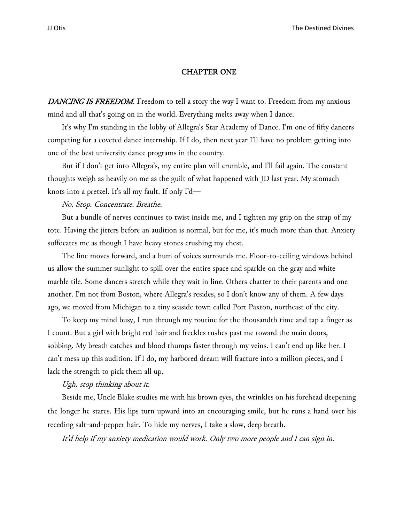## CHAPTER ONE

DANCING IS FREEDOM. Freedom to tell a story the way I want to. Freedom from my anxious mind and all that's going on in the world. Everything melts away when I dance.

It's why I'm standing in the lobby of Allegra's Star Academy of Dance. I'm one of fifty dancers competing for a coveted dance internship. If I do, then next year I'll have no problem getting into one of the best university dance programs in the country.

But if I don't get into Allegra's, my entire plan will crumble, and I'll fail again. The constant thoughts weigh as heavily on me as the guilt of what happened with JD last year. My stomach knots into a pretzel. It's all my fault. If only I'd—

No. Stop. Concentrate. Breathe.

But a bundle of nerves continues to twist inside me, and I tighten my grip on the strap of my tote. Having the jitters before an audition is normal, but for me, it's much more than that. Anxiety suffocates me as though I have heavy stones crushing my chest.

The line moves forward, and a hum of voices surrounds me. Floor-to-ceiling windows behind us allow the summer sunlight to spill over the entire space and sparkle on the gray and white marble tile. Some dancers stretch while they wait in line. Others chatter to their parents and one another. I'm not from Boston, where Allegra's resides, so I don't know any of them. A few days ago, we moved from Michigan to a tiny seaside town called Port Paxton, northeast of the city.

To keep my mind busy, I run through my routine for the thousandth time and tap a finger as I count. But a girl with bright red hair and freckles rushes past me toward the main doors, sobbing. My breath catches and blood thumps faster through my veins. I can't end up like her. I can't mess up this audition. If I do, my harbored dream will fracture into a million pieces, and I lack the strength to pick them all up.

## Ugh, stop thinking about it.

Beside me, Uncle Blake studies me with his brown eyes, the wrinkles on his forehead deepening the longer he stares. His lips turn upward into an encouraging smile, but he runs a hand over his receding salt-and-pepper hair. To hide my nerves, I take a slow, deep breath.

It'd help if my anxiety medication would work. Only two more people and I can sign in.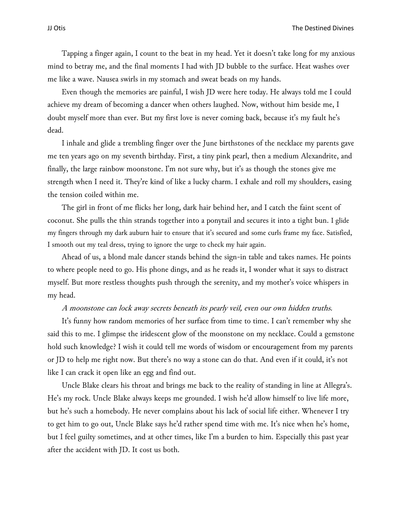Tapping a finger again, I count to the beat in my head. Yet it doesn't take long for my anxious mind to betray me, and the final moments I had with JD bubble to the surface. Heat washes over me like a wave. Nausea swirls in my stomach and sweat beads on my hands.

Even though the memories are painful, I wish JD were here today. He always told me I could achieve my dream of becoming a dancer when others laughed. Now, without him beside me, I doubt myself more than ever. But my first love is never coming back, because it's my fault he's dead.

I inhale and glide a trembling finger over the June birthstones of the necklace my parents gave me ten years ago on my seventh birthday. First, a tiny pink pearl, then a medium Alexandrite, and finally, the large rainbow moonstone. I'm not sure why, but it's as though the stones give me strength when I need it. They're kind of like a lucky charm. I exhale and roll my shoulders, easing the tension coiled within me.

The girl in front of me flicks her long, dark hair behind her, and I catch the faint scent of coconut. She pulls the thin strands together into a ponytail and secures it into a tight bun. I glide my fingers through my dark auburn hair to ensure that it's secured and some curls frame my face. Satisfied, I smooth out my teal dress, trying to ignore the urge to check my hair again.

Ahead of us, a blond male dancer stands behind the sign-in table and takes names. He points to where people need to go. His phone dings, and as he reads it, I wonder what it says to distract myself. But more restless thoughts push through the serenity, and my mother's voice whispers in my head.

## A moonstone can lock away secrets beneath its pearly veil, even our own hidden truths.

It's funny how random memories of her surface from time to time. I can't remember why she said this to me. I glimpse the iridescent glow of the moonstone on my necklace. Could a gemstone hold such knowledge? I wish it could tell me words of wisdom or encouragement from my parents or JD to help me right now. But there's no way a stone can do that. And even if it could, it's not like I can crack it open like an egg and find out.

Uncle Blake clears his throat and brings me back to the reality of standing in line at Allegra's. He's my rock. Uncle Blake always keeps me grounded. I wish he'd allow himself to live life more, but he's such a homebody. He never complains about his lack of social life either. Whenever I try to get him to go out, Uncle Blake says he'd rather spend time with me. It's nice when he's home, but I feel guilty sometimes, and at other times, like I'm a burden to him. Especially this past year after the accident with JD. It cost us both.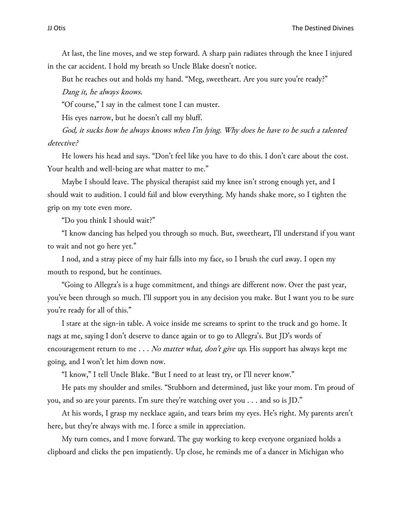At last, the line moves, and we step forward. A sharp pain radiates through the knee I injured in the car accident. I hold my breath so Uncle Blake doesn't notice.

But he reaches out and holds my hand. "Meg, sweetheart. Are you sure you're ready?" Dang it, he always knows.

"Of course," I say in the calmest tone I can muster.

His eyes narrow, but he doesn't call my bluff.

God, it sucks how he always knows when I'm lying. Why does he have to be such a talented detective?

He lowers his head and says. "Don't feel like you have to do this. I don't care about the cost. Your health and well-being are what matter to me."

Maybe I should leave. The physical therapist said my knee isn't strong enough yet, and I should wait to audition. I could fail and blow everything. My hands shake more, so I tighten the grip on my tote even more.

"Do you think I should wait?"

"I know dancing has helped you through so much. But, sweetheart, I'll understand if you want to wait and not go here yet."

I nod, and a stray piece of my hair falls into my face, so I brush the curl away. I open my mouth to respond, but he continues.

"Going to Allegra's is a huge commitment, and things are different now. Over the past year, you've been through so much. I'll support you in any decision you make. But I want you to be sure you're ready for all of this."

I stare at the sign-in table. A voice inside me screams to sprint to the truck and go home. It nags at me, saying I don't deserve to dance again or to go to Allegra's. But JD's words of encouragement return to me  $\dots$  No matter what, don't give up. His support has always kept me going, and I won't let him down now.

"I know," I tell Uncle Blake. "But I need to at least try, or I'll never know."

He pats my shoulder and smiles. "Stubborn and determined, just like your mom. I'm proud of you, and so are your parents. I'm sure they're watching over you . . . and so is JD."

At his words, I grasp my necklace again, and tears brim my eyes. He's right. My parents aren't here, but they're always with me. I force a smile in appreciation.

My turn comes, and I move forward. The guy working to keep everyone organized holds a clipboard and clicks the pen impatiently. Up close, he reminds me of a dancer in Michigan who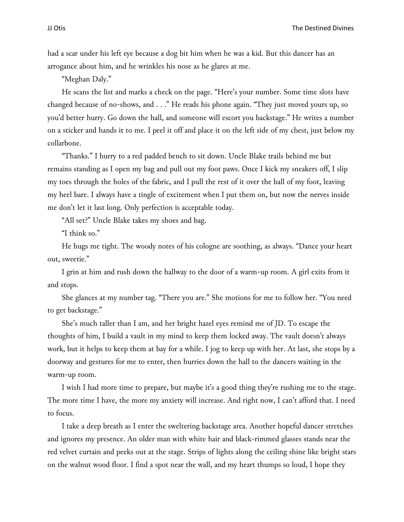had a scar under his left eye because a dog bit him when he was a kid. But this dancer has an arrogance about him, and he wrinkles his nose as he glares at me.

"Meghan Daly."

He scans the list and marks a check on the page. "Here's your number. Some time slots have changed because of no-shows, and . . ." He reads his phone again. "They just moved yours up, so you'd better hurry. Go down the hall, and someone will escort you backstage." He writes a number on a sticker and hands it to me. I peel it off and place it on the left side of my chest, just below my collarbone.

"Thanks." I hurry to a red padded bench to sit down. Uncle Blake trails behind me but remains standing as I open my bag and pull out my foot paws. Once I kick my sneakers off, I slip my toes through the holes of the fabric, and I pull the rest of it over the ball of my foot, leaving my heel bare. I always have a tingle of excitement when I put them on, but now the nerves inside me don't let it last long. Only perfection is acceptable today.

"All set?" Uncle Blake takes my shoes and bag.

"I think so."

He hugs me tight. The woody notes of his cologne are soothing, as always. "Dance your heart out, sweetie."

I grin at him and rush down the hallway to the door of a warm-up room. A girl exits from it and stops.

She glances at my number tag. "There you are." She motions for me to follow her. "You need to get backstage."

She's much taller than I am, and her bright hazel eyes remind me of JD. To escape the thoughts of him, I build a vault in my mind to keep them locked away. The vault doesn't always work, but it helps to keep them at bay for a while. I jog to keep up with her. At last, she stops by a doorway and gestures for me to enter, then hurries down the hall to the dancers waiting in the warm-up room.

I wish I had more time to prepare, but maybe it's a good thing they're rushing me to the stage. The more time I have, the more my anxiety will increase. And right now, I can't afford that. I need to focus.

I take a deep breath as I enter the sweltering backstage area. Another hopeful dancer stretches and ignores my presence. An older man with white hair and black-rimmed glasses stands near the red velvet curtain and peeks out at the stage. Strips of lights along the ceiling shine like bright stars on the walnut wood floor. I find a spot near the wall, and my heart thumps so loud, I hope they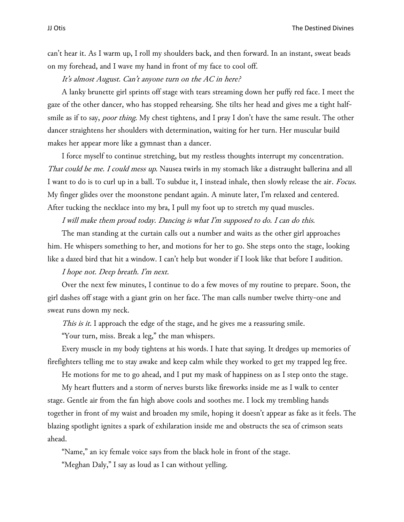can't hear it. As I warm up, I roll my shoulders back, and then forward. In an instant, sweat beads on my forehead, and I wave my hand in front of my face to cool off.

It's almost August. Can't anyone turn on the AC in here?

A lanky brunette girl sprints off stage with tears streaming down her puffy red face. I meet the gaze of the other dancer, who has stopped rehearsing. She tilts her head and gives me a tight halfsmile as if to say, *poor thing*. My chest tightens, and I pray I don't have the same result. The other dancer straightens her shoulders with determination, waiting for her turn. Her muscular build makes her appear more like a gymnast than a dancer.

I force myself to continue stretching, but my restless thoughts interrupt my concentration. That could be me. I could mess up. Nausea twirls in my stomach like a distraught ballerina and all I want to do is to curl up in a ball. To subdue it, I instead inhale, then slowly release the air. Focus. My finger glides over the moonstone pendant again. A minute later, I'm relaxed and centered. After tucking the necklace into my bra, I pull my foot up to stretch my quad muscles.

### I will make them proud today. Dancing is what I'm supposed to do. I can do this.

The man standing at the curtain calls out a number and waits as the other girl approaches him. He whispers something to her, and motions for her to go. She steps onto the stage, looking like a dazed bird that hit a window. I can't help but wonder if I look like that before I audition.

# I hope not. Deep breath. I'm next.

Over the next few minutes, I continue to do a few moves of my routine to prepare. Soon, the girl dashes off stage with a giant grin on her face. The man calls number twelve thirty-one and sweat runs down my neck.

This is it. I approach the edge of the stage, and he gives me a reassuring smile.

"Your turn, miss. Break a leg," the man whispers.

Every muscle in my body tightens at his words. I hate that saying. It dredges up memories of firefighters telling me to stay awake and keep calm while they worked to get my trapped leg free.

He motions for me to go ahead, and I put my mask of happiness on as I step onto the stage.

My heart flutters and a storm of nerves bursts like fireworks inside me as I walk to center stage. Gentle air from the fan high above cools and soothes me. I lock my trembling hands together in front of my waist and broaden my smile, hoping it doesn't appear as fake as it feels. The blazing spotlight ignites a spark of exhilaration inside me and obstructs the sea of crimson seats ahead.

"Name," an icy female voice says from the black hole in front of the stage.

"Meghan Daly," I say as loud as I can without yelling.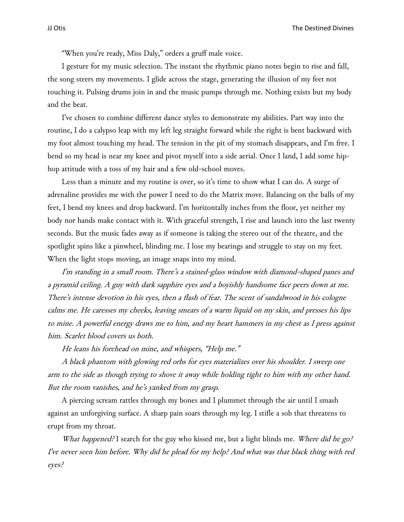"When you're ready, Miss Daly," orders a gruff male voice.

I gesture for my music selection. The instant the rhythmic piano notes begin to rise and fall, the song steers my movements. I glide across the stage, generating the illusion of my feet not touching it. Pulsing drums join in and the music pumps through me. Nothing exists but my body and the beat.

I've chosen to combine different dance styles to demonstrate my abilities. Part way into the routine, I do a calypso leap with my left leg straight forward while the right is bent backward with my foot almost touching my head. The tension in the pit of my stomach disappears, and I'm free. I bend so my head is near my knee and pivot myself into a side aerial. Once I land, I add some hiphop attitude with a toss of my hair and a few old-school moves.

Less than a minute and my routine is over, so it's time to show what I can do. A surge of adrenaline provides me with the power I need to do the Matrix move. Balancing on the balls of my feet, I bend my knees and drop backward. I'm horizontally inches from the floor, yet neither my body nor hands make contact with it. With graceful strength, I rise and launch into the last twenty seconds. But the music fades away as if someone is taking the stereo out of the theatre, and the spotlight spins like a pinwheel, blinding me. I lose my bearings and struggle to stay on my feet. When the light stops moving, an image snaps into my mind.

I'm standing in a small room. There's a stained-glass window with diamond-shaped panes and a pyramid ceiling. A guy with dark sapphire eyes and a boyishly handsome face peers down at me. There's intense devotion in his eyes, then a flash of fear. The scent of sandalwood in his cologne calms me. He caresses my cheeks, leaving smears of a warm liquid on my skin, and presses his lips to mine. A powerful energy draws me to him, and my heart hammers in my chest as I press against him. Scarlet blood covers us both.

He leans his forehead on mine, and whispers, "Help me."

A black phantom with glowing red orbs for eyes materializes over his shoulder. I sweep one arm to the side as though trying to shove it away while holding tight to him with my other hand. But the room vanishes, and he's yanked from my grasp.

A piercing scream rattles through my bones and I plummet through the air until I smash against an unforgiving surface. A sharp pain soars through my leg. I stifle a sob that threatens to erupt from my throat.

What happened? I search for the guy who kissed me, but a light blinds me. Where did he go? I've never seen him before. Why did he plead for my help? And what was that black thing with red eyes?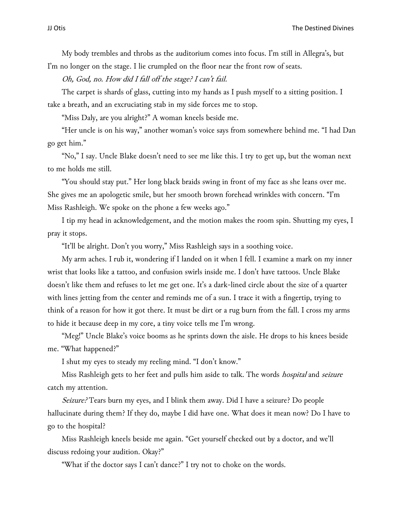My body trembles and throbs as the auditorium comes into focus. I'm still in Allegra's, but I'm no longer on the stage. I lie crumpled on the floor near the front row of seats.

Oh, God, no. How did I fall off the stage? I can't fail.

The carpet is shards of glass, cutting into my hands as I push myself to a sitting position. I take a breath, and an excruciating stab in my side forces me to stop.

"Miss Daly, are you alright?" A woman kneels beside me.

"Her uncle is on his way," another woman's voice says from somewhere behind me. "I had Dan go get him."

"No," I say. Uncle Blake doesn't need to see me like this. I try to get up, but the woman next to me holds me still.

"You should stay put." Her long black braids swing in front of my face as she leans over me. She gives me an apologetic smile, but her smooth brown forehead wrinkles with concern. "I'm Miss Rashleigh. We spoke on the phone a few weeks ago."

I tip my head in acknowledgement, and the motion makes the room spin. Shutting my eyes, I pray it stops.

"It'll be alright. Don't you worry," Miss Rashleigh says in a soothing voice.

My arm aches. I rub it, wondering if I landed on it when I fell. I examine a mark on my inner wrist that looks like a tattoo, and confusion swirls inside me. I don't have tattoos. Uncle Blake doesn't like them and refuses to let me get one. It's a dark-lined circle about the size of a quarter with lines jetting from the center and reminds me of a sun. I trace it with a fingertip, trying to think of a reason for how it got there. It must be dirt or a rug burn from the fall. I cross my arms to hide it because deep in my core, a tiny voice tells me I'm wrong.

"Meg!" Uncle Blake's voice booms as he sprints down the aisle. He drops to his knees beside me. "What happened?"

I shut my eyes to steady my reeling mind. "I don't know."

Miss Rashleigh gets to her feet and pulls him aside to talk. The words *hospital* and *seizure* catch my attention.

Seizure? Tears burn my eyes, and I blink them away. Did I have a seizure? Do people hallucinate during them? If they do, maybe I did have one. What does it mean now? Do I have to go to the hospital?

Miss Rashleigh kneels beside me again. "Get yourself checked out by a doctor, and we'll discuss redoing your audition. Okay?"

"What if the doctor says I can't dance?" I try not to choke on the words.